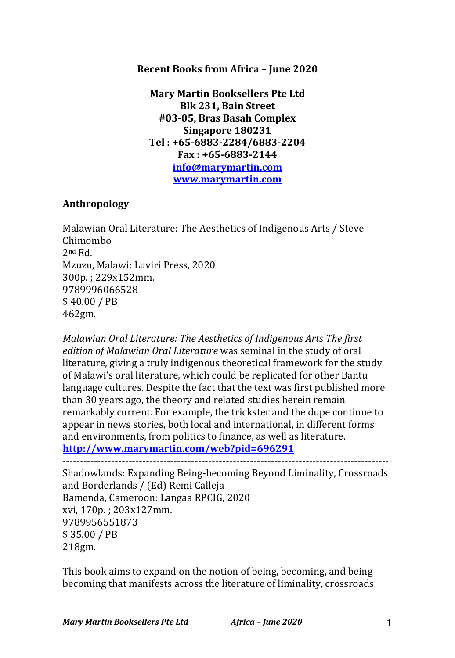### **Recent Books from Africa - June 2020**

**Mary Martin Booksellers Pte Ltd Blk 231, Bain Street #03-05, Bras Basah Complex Singapore 180231 Tel : +65-6883-2284/6883-2204 Fax : +65-6883-2144 info@marymartin.com www.marymartin.com**

## **Anthropology**

Malawian Oral Literature: The Aesthetics of Indigenous Arts / Steve Chimombo 2nd Ed. Mzuzu, Malawi: Luviri Press, 2020 300p.; 229x152mm. 9789996066528 \$ 40.00 / PB 462gm.

*Malawian Oral Literature: The Aesthetics of Indigenous Arts The first* edition of Malawian Oral Literature was seminal in the study of oral literature, giving a truly indigenous theoretical framework for the study of Malawi's oral literature, which could be replicated for other Bantu language cultures. Despite the fact that the text was first published more than 30 years ago, the theory and related studies herein remain remarkably current. For example, the trickster and the dupe continue to appear in news stories, both local and international, in different forms and environments, from politics to finance, as well as literature. **http://www.marymartin.com/web?pid=696291**

----------------------------------------------------------------------------------------------

Shadowlands: Expanding Being-becoming Beyond Liminality, Crossroads and Borderlands / (Ed) Remi Calleja Bamenda, Cameroon: Langaa RPCIG, 2020 xvi, 170p. ; 203x127mm. 9789956551873 \$ 35.00 / PB 218gm.

This book aims to expand on the notion of being, becoming, and beingbecoming that manifests across the literature of liminality, crossroads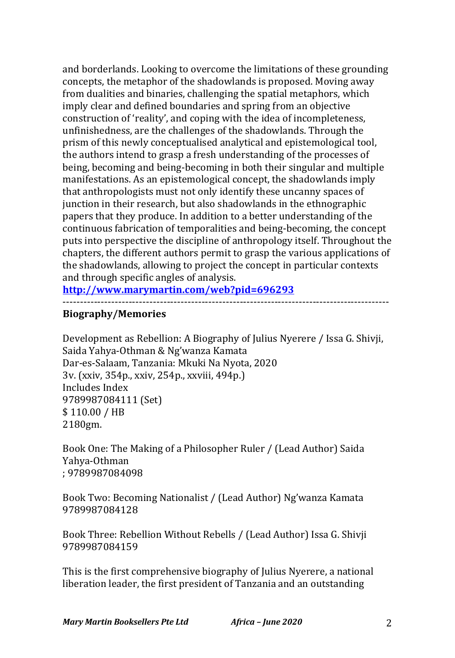and borderlands. Looking to overcome the limitations of these grounding concepts, the metaphor of the shadowlands is proposed. Moving away from dualities and binaries, challenging the spatial metaphors, which imply clear and defined boundaries and spring from an objective construction of 'reality', and coping with the idea of incompleteness, unfinishedness, are the challenges of the shadowlands. Through the prism of this newly conceptualised analytical and epistemological tool, the authors intend to grasp a fresh understanding of the processes of being, becoming and being-becoming in both their singular and multiple manifestations. As an epistemological concept, the shadowlands imply that anthropologists must not only identify these uncanny spaces of junction in their research, but also shadowlands in the ethnographic papers that they produce. In addition to a better understanding of the continuous fabrication of temporalities and being-becoming, the concept puts into perspective the discipline of anthropology itself. Throughout the chapters, the different authors permit to grasp the various applications of the shadowlands, allowing to project the concept in particular contexts and through specific angles of analysis.

**http://www.marymartin.com/web?pid=696293**

----------------------------------------------------------------------------------------------

## **Biography/Memories**

Development as Rebellion: A Biography of Julius Nyerere / Issa G. Shivji, Saida Yahya-Othman & Ng'wanza Kamata Dar-es-Salaam, Tanzania: Mkuki Na Nyota, 2020 3v. (xxiv, 354p., xxiv, 254p., xxviii, 494p.) Includes Index 9789987084111 (Set) \$ 110.00 / HB 2180gm.

Book One: The Making of a Philosopher Ruler / (Lead Author) Saida Yahya-Othman ; 9789987084098

Book Two: Becoming Nationalist / (Lead Author) Ng'wanza Kamata 9789987084128

Book Three: Rebellion Without Rebells / (Lead Author) Issa G. Shivji 9789987084159

This is the first comprehensive biography of Julius Nyerere, a national liberation leader, the first president of Tanzania and an outstanding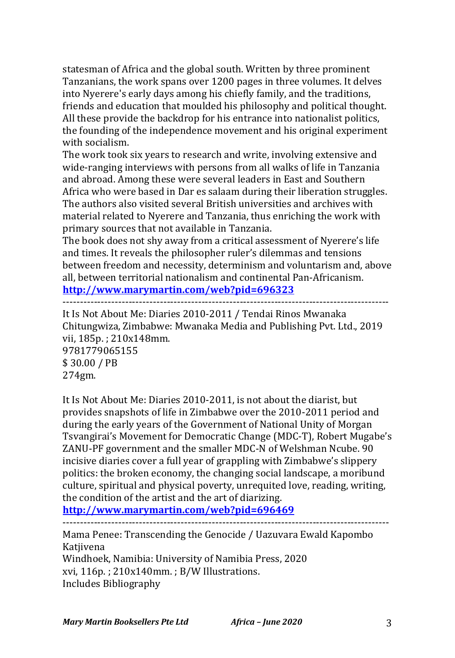statesman of Africa and the global south. Written by three prominent Tanzanians, the work spans over 1200 pages in three volumes. It delves into Nyerere's early days among his chiefly family, and the traditions, friends and education that moulded his philosophy and political thought. All these provide the backdrop for his entrance into nationalist politics, the founding of the independence movement and his original experiment with socialism.

The work took six years to research and write, involving extensive and wide-ranging interviews with persons from all walks of life in Tanzania and abroad. Among these were several leaders in East and Southern Africa who were based in Dar es salaam during their liberation struggles. The authors also visited several British universities and archives with material related to Nyerere and Tanzania, thus enriching the work with primary sources that not available in Tanzania.

The book does not shy away from a critical assessment of Nyerere's life and times. It reveals the philosopher ruler's dilemmas and tensions between freedom and necessity, determinism and voluntarism and, above all, between territorial nationalism and continental Pan-Africanism. **http://www.marymartin.com/web?pid=696323**

----------------------------------------------------------------------------------------------

It Is Not About Me: Diaries 2010-2011 / Tendai Rinos Mwanaka Chitungwiza, Zimbabwe: Mwanaka Media and Publishing Pvt. Ltd., 2019 vii, 185p.; 210x148mm. 9781779065155 \$ 30.00 / PB

274gm.

It Is Not About Me: Diaries 2010-2011, is not about the diarist, but provides snapshots of life in Zimbabwe over the 2010-2011 period and during the early years of the Government of National Unity of Morgan Tsvangirai's Movement for Democratic Change (MDC-T), Robert Mugabe's ZANU-PF government and the smaller MDC-N of Welshman Ncube. 90 incisive diaries cover a full year of grappling with Zimbabwe's slippery politics: the broken economy, the changing social landscape, a moribund culture, spiritual and physical poverty, unrequited love, reading, writing, the condition of the artist and the art of diarizing.

**http://www.marymartin.com/web?pid=696469**

----------------------------------------------------------------------------------------------

Mama Penee: Transcending the Genocide / Uazuvara Ewald Kapombo Katjivena

Windhoek, Namibia: University of Namibia Press, 2020  $xvi$ , 116p. ; 210x140mm. ; B/W Illustrations. Includes Bibliography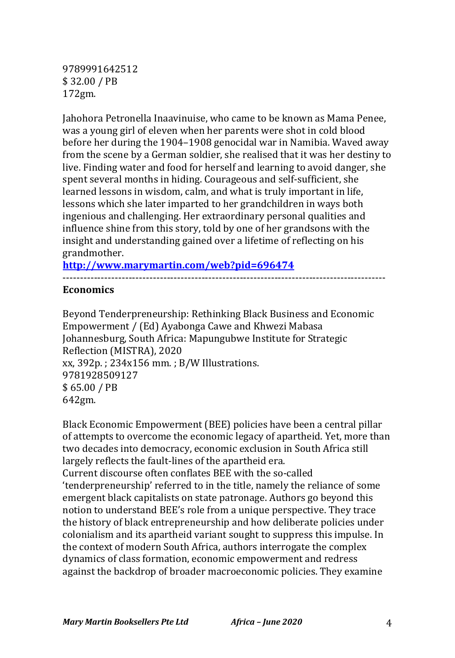9789991642512 \$ 32.00 / PB 172gm.

Jahohora Petronella Inaavinuise, who came to be known as Mama Penee, was a young girl of eleven when her parents were shot in cold blood before her during the 1904–1908 genocidal war in Namibia. Waved away from the scene by a German soldier, she realised that it was her destiny to live. Finding water and food for herself and learning to avoid danger, she spent several months in hiding. Courageous and self-sufficient, she learned lessons in wisdom, calm, and what is truly important in life, lessons which she later imparted to her grandchildren in ways both ingenious and challenging. Her extraordinary personal qualities and influence shine from this story, told by one of her grandsons with the insight and understanding gained over a lifetime of reflecting on his grandmother.

**http://www.marymartin.com/web?pid=696474**

#### **Economics**

Beyond Tenderpreneurship: Rethinking Black Business and Economic Empowerment / (Ed) Ayabonga Cawe and Khwezi Mabasa Johannesburg, South Africa: Mapungubwe Institute for Strategic Reflection (MISTRA), 2020  $xx$ , 392p. ; 234 $x156$  mm. ; B/W Illustrations. 9781928509127 \$ 65.00 / PB 642gm.

---------------------------------------------------------------------------------------------

Black Economic Empowerment (BEE) policies have been a central pillar of attempts to overcome the economic legacy of apartheid. Yet, more than two decades into democracy, economic exclusion in South Africa still largely reflects the fault-lines of the apartheid era. Current discourse often conflates BEE with the so-called

'tenderpreneurship' referred to in the title, namely the reliance of some emergent black capitalists on state patronage. Authors go beyond this notion to understand BEE's role from a unique perspective. They trace the history of black entrepreneurship and how deliberate policies under colonialism and its apartheid variant sought to suppress this impulse. In the context of modern South Africa, authors interrogate the complex dynamics of class formation, economic empowerment and redress against the backdrop of broader macroeconomic policies. They examine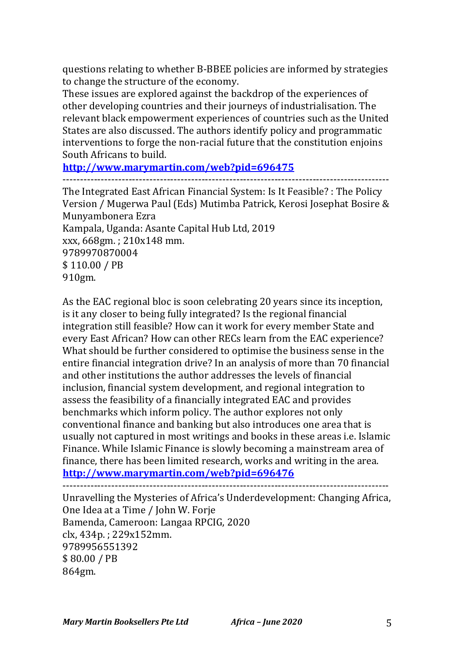questions relating to whether B-BBEE policies are informed by strategies to change the structure of the economy.

These issues are explored against the backdrop of the experiences of other developing countries and their journeys of industrialisation. The relevant black empowerment experiences of countries such as the United States are also discussed. The authors identify policy and programmatic interventions to forge the non-racial future that the constitution enjoins South Africans to build.

**http://www.marymartin.com/web?pid=696475**

----------------------------------------------------------------------------------------------

The Integrated East African Financial System: Is It Feasible? : The Policy Version / Mugerwa Paul (Eds) Mutimba Patrick, Kerosi Josephat Bosire & Munyambonera Ezra Kampala, Uganda: Asante Capital Hub Ltd, 2019 xxx, 668gm. : 210x148 mm. 9789970870004 \$ 110.00 / PB 910gm.

As the EAC regional bloc is soon celebrating 20 years since its inception, is it any closer to being fully integrated? Is the regional financial integration still feasible? How can it work for every member State and every East African? How can other RECs learn from the EAC experience? What should be further considered to optimise the business sense in the entire financial integration drive? In an analysis of more than 70 financial and other institutions the author addresses the levels of financial inclusion, financial system development, and regional integration to assess the feasibility of a financially integrated EAC and provides benchmarks which inform policy. The author explores not only conventional finance and banking but also introduces one area that is usually not captured in most writings and books in these areas i.e. Islamic Finance. While Islamic Finance is slowly becoming a mainstream area of finance, there has been limited research, works and writing in the area. **http://www.marymartin.com/web?pid=696476**

----------------------------------------------------------------------------------------------

Unravelling the Mysteries of Africa's Underdevelopment: Changing Africa, One Idea at a Time / John W. Forje Bamenda, Cameroon: Langaa RPCIG, 2020 clx, 434p.; 229x152mm. 9789956551392 \$ 80.00 / PB 864gm.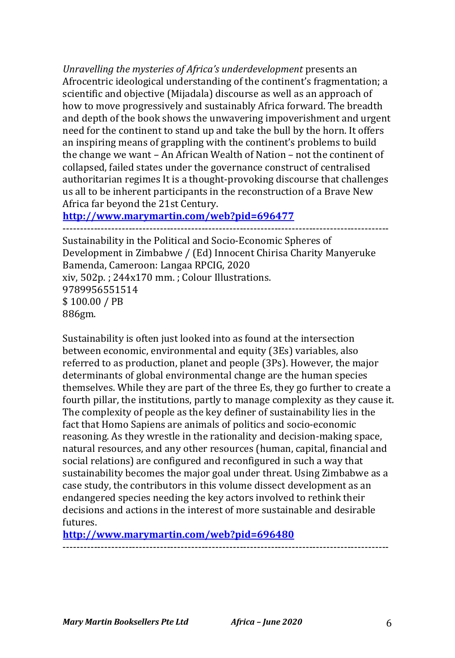Unravelling the mysteries of Africa's underdevelopment presents an Afrocentric ideological understanding of the continent's fragmentation; a scientific and objective (Mijadala) discourse as well as an approach of how to move progressively and sustainably Africa forward. The breadth and depth of the book shows the unwavering impoverishment and urgent need for the continent to stand up and take the bull by the horn. It offers an inspiring means of grappling with the continent's problems to build the change we want  $-$  An African Wealth of Nation  $-$  not the continent of collapsed, failed states under the governance construct of centralised authoritarian regimes It is a thought-provoking discourse that challenges us all to be inherent participants in the reconstruction of a Brave New Africa far beyond the 21st Century.

**http://www.marymartin.com/web?pid=696477** ----------------------------------------------------------------------------------------------

Sustainability in the Political and Socio-Economic Spheres of Development in Zimbabwe / (Ed) Innocent Chirisa Charity Manyeruke Bamenda, Cameroon: Langaa RPCIG, 2020  $xiv$ , 502p.; 244 $x$ 170 mm.; Colour Illustrations. 9789956551514 \$100.00 / PB 886gm.

Sustainability is often just looked into as found at the intersection between economic, environmental and equity (3Es) variables, also referred to as production, planet and people (3Ps). However, the major determinants of global environmental change are the human species themselves. While they are part of the three Es, they go further to create a fourth pillar, the institutions, partly to manage complexity as they cause it. The complexity of people as the key definer of sustainability lies in the fact that Homo Sapiens are animals of politics and socio-economic reasoning. As they wrestle in the rationality and decision-making space, natural resources, and any other resources (human, capital, financial and social relations) are configured and reconfigured in such a way that sustainability becomes the major goal under threat. Using Zimbabwe as a case study, the contributors in this volume dissect development as an endangered species needing the key actors involved to rethink their decisions and actions in the interest of more sustainable and desirable futures.

**http://www.marymartin.com/web?pid=696480**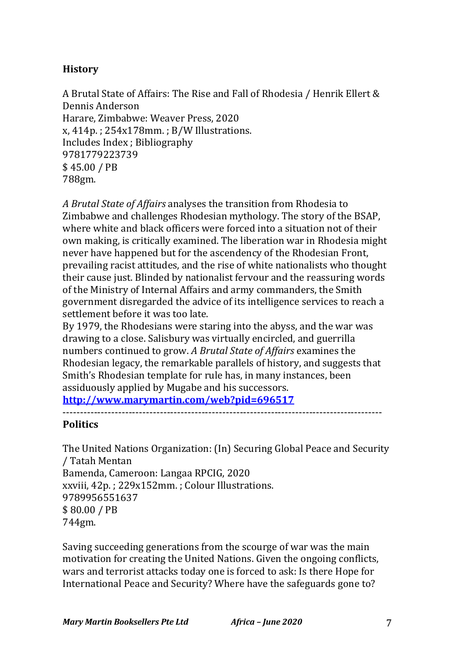# **History**

A Brutal State of Affairs: The Rise and Fall of Rhodesia / Henrik Ellert & Dennis Anderson Harare, Zimbabwe: Weaver Press, 2020  $x, 414p.$ ;  $254x178mm.$ ;  $B/W$  Illustrations. Includes Index ; Bibliography 9781779223739 \$ 45.00 / PB 788gm.

A Brutal State of Affairs analyses the transition from Rhodesia to Zimbabwe and challenges Rhodesian mythology. The story of the BSAP, where white and black officers were forced into a situation not of their own making, is critically examined. The liberation war in Rhodesia might never have happened but for the ascendency of the Rhodesian Front, prevailing racist attitudes, and the rise of white nationalists who thought their cause just. Blinded by nationalist fervour and the reassuring words of the Ministry of Internal Affairs and army commanders, the Smith government disregarded the advice of its intelligence services to reach a settlement before it was too late.

By 1979, the Rhodesians were staring into the abyss, and the war was drawing to a close. Salisbury was virtually encircled, and guerrilla numbers continued to grow. *A Brutal State of Affairs* examines the Rhodesian legacy, the remarkable parallels of history, and suggests that Smith's Rhodesian template for rule has, in many instances, been assiduously applied by Mugabe and his successors.

**http://www.marymartin.com/web?pid=696517**

## **Politics**

The United Nations Organization: (In) Securing Global Peace and Security / Tatah Mentan Bamenda, Cameroon: Langaa RPCIG, 2020 xxviii, 42p.; 229x152mm.; Colour Illustrations. 9789956551637 \$ 80.00 / PB 744gm.

Saving succeeding generations from the scourge of war was the main motivation for creating the United Nations. Given the ongoing conflicts, wars and terrorist attacks today one is forced to ask: Is there Hope for International Peace and Security? Where have the safeguards gone to?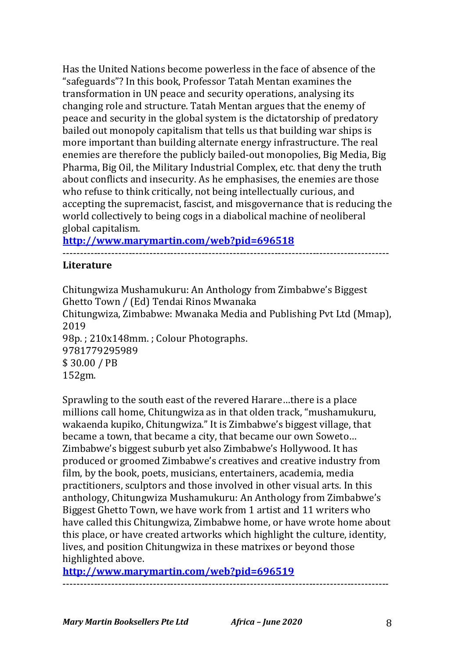Has the United Nations become powerless in the face of absence of the "safeguards"? In this book, Professor Tatah Mentan examines the transformation in UN peace and security operations, analysing its changing role and structure. Tatah Mentan argues that the enemy of peace and security in the global system is the dictatorship of predatory bailed out monopoly capitalism that tells us that building war ships is more important than building alternate energy infrastructure. The real enemies are therefore the publicly bailed-out monopolies, Big Media, Big Pharma, Big Oil, the Military Industrial Complex, etc. that deny the truth about conflicts and insecurity. As he emphasises, the enemies are those who refuse to think critically, not being intellectually curious, and accepting the supremacist, fascist, and misgovernance that is reducing the world collectively to being cogs in a diabolical machine of neoliberal global capitalism.

**http://www.marymartin.com/web?pid=696518**

## **Literature**

Chitungwiza Mushamukuru: An Anthology from Zimbabwe's Biggest Ghetto Town / (Ed) Tendai Rinos Mwanaka Chitungwiza, Zimbabwe: Mwanaka Media and Publishing Pvt Ltd (Mmap), 2019 98p.; 210x148mm.; Colour Photographs. 9781779295989 \$ 30.00 / PB 152gm.

----------------------------------------------------------------------------------------------

Sprawling to the south east of the revered Harare...there is a place millions call home, Chitungwiza as in that olden track, "mushamukuru, wakaenda kupiko, Chitungwiza." It is Zimbabwe's biggest village, that became a town, that became a city, that became our own Soweto... Zimbabwe's biggest suburb yet also Zimbabwe's Hollywood. It has produced or groomed Zimbabwe's creatives and creative industry from film, by the book, poets, musicians, entertainers, academia, media practitioners, sculptors and those involved in other visual arts. In this anthology, Chitungwiza Mushamukuru: An Anthology from Zimbabwe's Biggest Ghetto Town, we have work from 1 artist and 11 writers who have called this Chitungwiza, Zimbabwe home, or have wrote home about this place, or have created artworks which highlight the culture, identity, lives, and position Chitungwiza in these matrixes or beyond those highlighted above.

----------------------------------------------------------------------------------------------

**http://www.marymartin.com/web?pid=696519**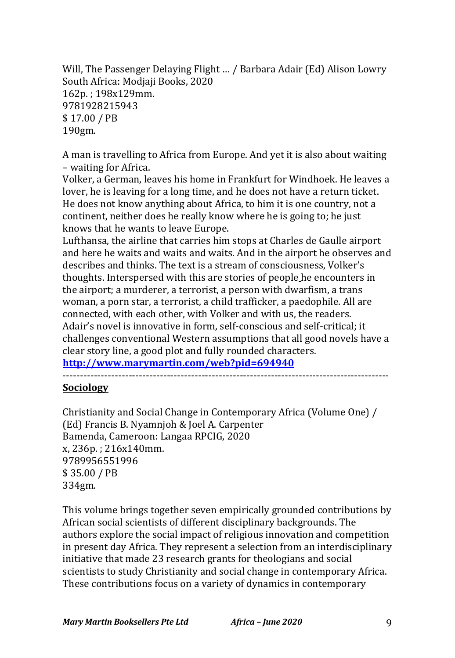Will, The Passenger Delaying Flight ... / Barbara Adair (Ed) Alison Lowry South Africa: Modjaji Books, 2020 162p. ; 198x129mm. 9781928215943 \$ 17.00 / PB 190gm. 

A man is travelling to Africa from Europe. And yet it is also about waiting – waiting for Africa.

Volker, a German, leaves his home in Frankfurt for Windhoek. He leaves a lover, he is leaving for a long time, and he does not have a return ticket. He does not know anything about Africa, to him it is one country, not a continent, neither does he really know where he is going to; he just knows that he wants to leave Europe.

Lufthansa, the airline that carries him stops at Charles de Gaulle airport and here he waits and waits and waits. And in the airport he observes and describes and thinks. The text is a stream of consciousness, Volker's thoughts. Interspersed with this are stories of people he encounters in the airport; a murderer, a terrorist, a person with dwarfism, a trans woman, a porn star, a terrorist, a child trafficker, a paedophile. All are connected, with each other, with Volker and with us, the readers. Adair's novel is innovative in form, self-conscious and self-critical; it challenges conventional Western assumptions that all good novels have a clear story line, a good plot and fully rounded characters.

**http://www.marymartin.com/web?pid=694940**

----------------------------------------------------------------------------------------------

## **Sociology**

Christianity and Social Change in Contemporary Africa (Volume One) / (Ed) Francis B. Nyamnjoh & Joel A. Carpenter Bamenda, Cameroon: Langaa RPCIG, 2020 x. 236p.: 216x140mm. 9789956551996 \$ 35.00 / PB 334gm.

This volume brings together seven empirically grounded contributions by African social scientists of different disciplinary backgrounds. The authors explore the social impact of religious innovation and competition in present day Africa. They represent a selection from an interdisciplinary initiative that made 23 research grants for theologians and social scientists to study Christianity and social change in contemporary Africa. These contributions focus on a variety of dynamics in contemporary